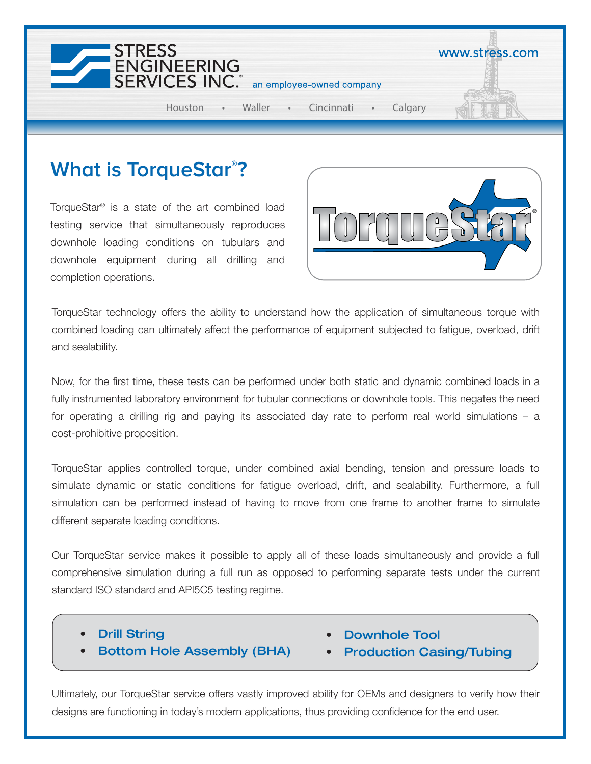

## **What is TorqueStar® ?**

TorqueStar® is a state of the art combined load testing service that simultaneously reproduces downhole loading conditions on tubulars and downhole equipment during all drilling and completion operations.



TorqueStar technology offers the ability to understand how the application of simultaneous torque with combined loading can ultimately affect the performance of equipment subjected to fatigue, overload, drift and sealability.

Now, for the first time, these tests can be performed under both static and dynamic combined loads in a fully instrumented laboratory environment for tubular connections or downhole tools. This negates the need for operating a drilling rig and paying its associated day rate to perform real world simulations – a cost-prohibitive proposition.

TorqueStar applies controlled torque, under combined axial bending, tension and pressure loads to simulate dynamic or static conditions for fatigue overload, drift, and sealability. Furthermore, a full simulation can be performed instead of having to move from one frame to another frame to simulate different separate loading conditions.

Our TorqueStar service makes it possible to apply all of these loads simultaneously and provide a full comprehensive simulation during a full run as opposed to performing separate tests under the current standard ISO standard and API5C5 testing regime.

- Drill String
- Bottom Hole Assembly (BHA)
- Downhole Tool
- Production Casing/Tubing

Ultimately, our TorqueStar service offers vastly improved ability for OEMs and designers to verify how their designs are functioning in today's modern applications, thus providing confidence for the end user.